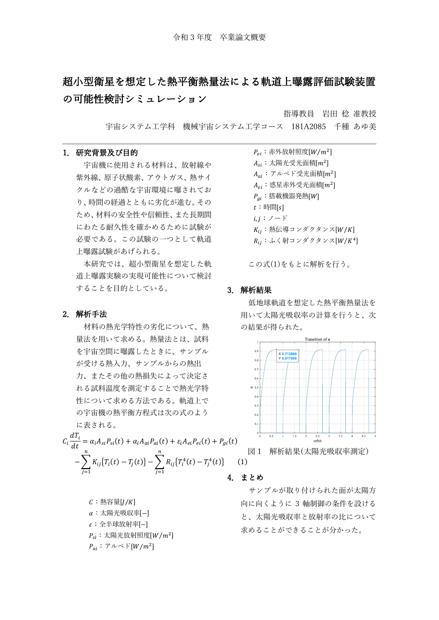# 超小型衛星を想定した熱平衡熱量法による軌道上曝露評価試験装置 の可能性検討シミュレーション

指導教員 岩田 稔 准教授

宇宙システム工学科 機械宇宙システム工学コース 181A2085 千種 あゆ美

### 1.研究背景及び目的

宇宙機に使用される材料は、放射線や 紫外線、原子状酸素、アウトガス、熱サイ クルなどの過酷な宇宙環境に曝されてお り、時間の経過とともに劣化が進む。その ため、材料の安全性や信頼性、また長期間 にわたる耐久性を確かめるために試験が 必要である。この試験の一つとして軌道 上曝露試験があげられる。

本研究では、超小型衛星を想定した軌 道上曝露実験の実現可能性について検討 することを目的としている。

#### 2.解析手法

材料の熱光学特性の劣化について、熱 量法を用いて求める。熱量法とは、試料 を宇宙空間に曝露したときに、サンプル が受ける熱入力、サンプルからの熱出 力、またその他の熱損失によって決定さ れる試料温度を測定することで熱光学特 性について求める方法である。軌道上で の宇宙機の熱平衡方程式は次の式のよう に表される。

$$
C_i \frac{dT_i}{dt} = \alpha_i A_{si} P_{si}(t) + \alpha_i A_{ai} P_{ai}(t) + \varepsilon_i A_{ei} P_{ei}(t) + P_{gi}(t)
$$

$$
- \sum_{j=1}^n K_{ij} \{T_i(t) - T_j(t)\} - \sum_{j=1}^n R_{ij} \{T_i^4(t) - T_j^4(t)\} \tag{1}
$$

 $C:$  熱容量 $[I/K]$ :太陽光吸収率[−]  $\varepsilon$ ; 全半球放射率[−]  $P_{si}$ : 太陽光放射照度 $[W/m^2]$  $P_{ai}: \mathcal{V} \wedge \mathcal{N}$   $\vert W/m^2 \vert$ 

 $P_{ei}$ : 赤外放射照度 $[W/m^2]$  $A_{si}$ :太陽光受光面積[ $m^2$ ]  $A_{ai}$ :アルベド受光面積[ $m^2$ ]  $A_{ei}$ :惑星赤外受光面積[ $m^2$ ]  $P_{ai}$ :搭載機器発熱 $[W]$  $t$ : 時間[s]  $i, j: \mathcal{I} - \mathcal{F}$  $K_{ij}$ : 熱伝導コンダクタンス $[W/K]$  $R_{ij}: \mathcal{S} \triangleleft \{ \frac{k}{2} \}$ コンダクタンス $[W/K^4]$ 

この式(1)をもとに解析を行う。

# 3.解析結果

低地球軌道を想定した熱平衡熱量法を 用いて太陽光吸収率の計算を行うと、次 の結果が得られた。



図 1 解析結果(太陽光吸収率測定)

#### 4.まとめ

サンプルが取り付けられた面が太陽方 向に向くように 3 軸制御の条件を設ける と、太陽光吸収率と放射率の比について 求めることができることが分かった。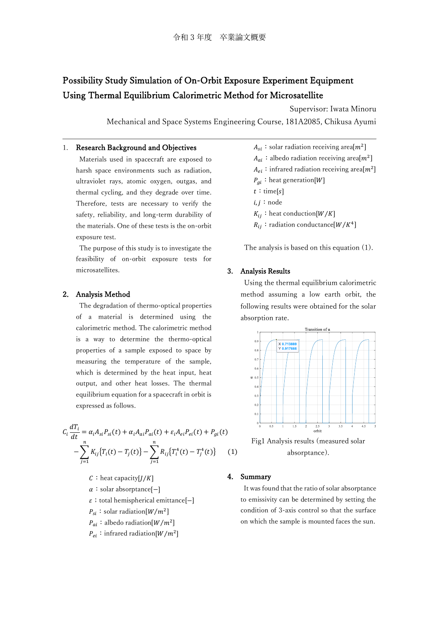# Possibility Study Simulation of On-Orbit Exposure Experiment Equipment Using Thermal Equilibrium Calorimetric Method for Microsatellite

Supervisor: Iwata Minoru Mechanical and Space Systems Engineering Course, 181A2085, Chikusa Ayumi

### 1. Research Background and Objectives

Materials used in spacecraft are exposed to harsh space environments such as radiation, ultraviolet rays, atomic oxygen, outgas, and thermal cycling, and they degrade over time. Therefore, tests are necessary to verify the safety, reliability, and long-term durability of the materials. One of these tests is the on-orbit exposure test.

The purpose of this study is to investigate the feasibility of on-orbit exposure tests for microsatellites.

# 2. Analysis Method

The degradation of thermo-optical properties of a material is determined using the calorimetric method. The calorimetric method is a way to determine the thermo-optical properties of a sample exposed to space by measuring the temperature of the sample, which is determined by the heat input, heat output, and other heat losses. The thermal equilibrium equation for a spacecraft in orbit is expressed as follows.

$$
C_i \frac{dT_i}{dt} = \alpha_i A_{si} P_{si}(t) + \alpha_i A_{ai} P_{ai}(t) + \varepsilon_i A_{ei} P_{ei}(t) + P_{gi}(t) - \sum_{j=1}^n K_{ij} \{ T_i(t) - T_j(t) \} - \sum_{j=1}^n R_{ij} \{ T_i^4(t) - T_j^4(t) \}
$$
 (1)

 $C:$  heat capacity[ $J/K$ ]

- :solar absorptance[−]
- ;total hemispherical emittance[−]

 $P_{si}$ : solar radiation[ $W/m^2$ ]

 $P_{ai}:$  albedo radiation[ $W/m^2$ ]

 $P_{ei}$ : infrared radiation[ $W/m^2$ ]

 $A_{si}$ : solar radiation receiving area $[m^2]$  $A_{ai}:$  albedo radiation receiving area[ $m^2$ ]  $A_{ei}$ : infrared radiation receiving area $[m^2]$  $P_{qi}:$  heat generation[W]  $t:$  time[s]  $i, j$ : node  $K_{ii}$ : heat conduction[*W*/*K*]  $R_{ij}$ : radiation conductance $[W/K^4]$ 

The analysis is based on this equation (1).

#### 3. Analysis Results

Using the thermal equilibrium calorimetric method assuming a low earth orbit, the following results were obtained for the solar absorption rate.



Fig1 Analysis results (measured solar absorptance).

#### 4. Summary

It was found that the ratio of solar absorptance to emissivity can be determined by setting the condition of 3-axis control so that the surface on which the sample is mounted faces the sun.